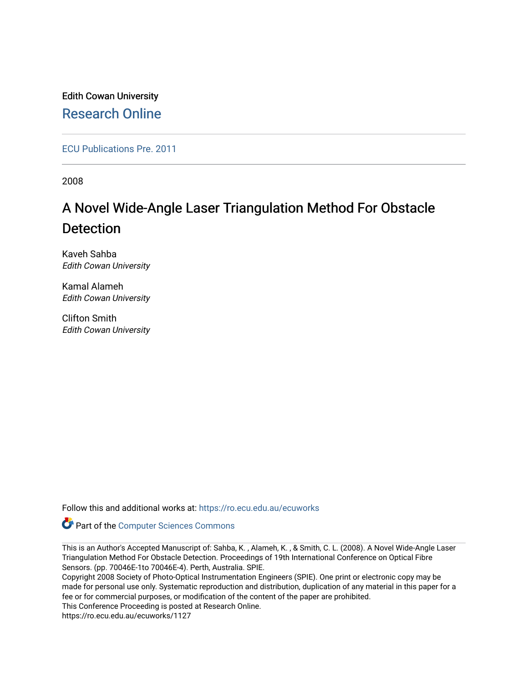Edith Cowan University [Research Online](https://ro.ecu.edu.au/) 

[ECU Publications Pre. 2011](https://ro.ecu.edu.au/ecuworks)

2008

# A Novel Wide-Angle Laser Triangulation Method For Obstacle Detection

Kaveh Sahba Edith Cowan University

Kamal Alameh Edith Cowan University

Clifton Smith Edith Cowan University

Follow this and additional works at: [https://ro.ecu.edu.au/ecuworks](https://ro.ecu.edu.au/ecuworks?utm_source=ro.ecu.edu.au%2Fecuworks%2F1127&utm_medium=PDF&utm_campaign=PDFCoverPages) 

**Part of the [Computer Sciences Commons](http://network.bepress.com/hgg/discipline/142?utm_source=ro.ecu.edu.au%2Fecuworks%2F1127&utm_medium=PDF&utm_campaign=PDFCoverPages)** 

This is an Author's Accepted Manuscript of: Sahba, K. , Alameh, K. , & Smith, C. L. (2008). A Novel Wide-Angle Laser Triangulation Method For Obstacle Detection. Proceedings of 19th International Conference on Optical Fibre Sensors. (pp. 70046E-1to 70046E-4). Perth, Australia. SPIE.

Copyright 2008 Society of Photo-Optical Instrumentation Engineers (SPIE). One print or electronic copy may be made for personal use only. Systematic reproduction and distribution, duplication of any material in this paper for a fee or for commercial purposes, or modification of the content of the paper are prohibited. This Conference Proceeding is posted at Research Online.

https://ro.ecu.edu.au/ecuworks/1127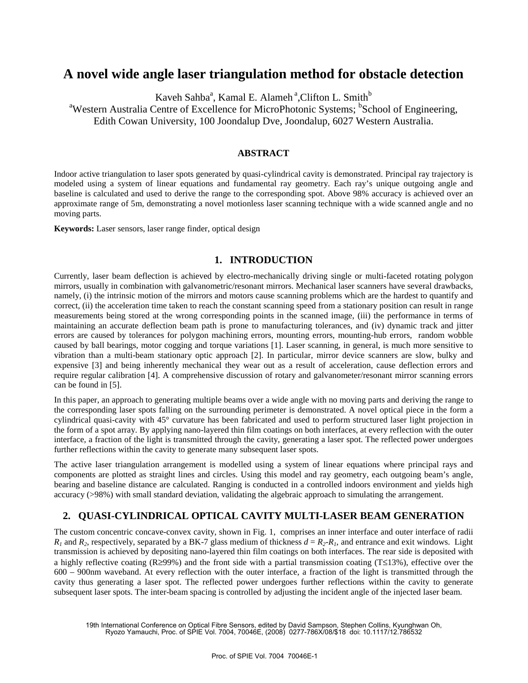# **A novel wide angle laser triangulation method for obstacle detection**

Kaveh Sahba<sup>a</sup>, Kamal E. Alameh<sup>a</sup>, Clifton L. Smith<sup>b</sup>

<sup>a</sup>Western Australia Centre of Excellence for MicroPhotonic Systems; <sup>b</sup>School of Engineering,

Edith Cowan University, 100 Joondalup Dve, Joondalup, 6027 Western Australia.

#### **ABSTRACT**

Indoor active triangulation to laser spots generated by quasi-cylindrical cavity is demonstrated. Principal ray trajectory is modeled using a system of linear equations and fundamental ray geometry. Each ray's unique outgoing angle and baseline is calculated and used to derive the range to the corresponding spot. Above 98% accuracy is achieved over an approximate range of 5m, demonstrating a novel motionless laser scanning technique with a wide scanned angle and no moving parts.

**Keywords:** Laser sensors, laser range finder, optical design

## **1. INTRODUCTION**

Currently, laser beam deflection is achieved by electro-mechanically driving single or multi-faceted rotating polygon mirrors, usually in combination with galvanometric/resonant mirrors. Mechanical laser scanners have several drawbacks, namely, (i) the intrinsic motion of the mirrors and motors cause scanning problems which are the hardest to quantify and correct, (ii) the acceleration time taken to reach the constant scanning speed from a stationary position can result in range measurements being stored at the wrong corresponding points in the scanned image, (iii) the performance in terms of maintaining an accurate deflection beam path is prone to manufacturing tolerances, and (iv) dynamic track and jitter errors are caused by tolerances for polygon machining errors, mounting errors, mounting-hub errors, random wobble caused by ball bearings, motor cogging and torque variations [1]. Laser scanning, in general, is much more sensitive to vibration than a multi-beam stationary optic approach [2]. In particular, mirror device scanners are slow, bulky and expensive [3] and being inherently mechanical they wear out as a result of acceleration, cause deflection errors and require regular calibration [4]. A comprehensive discussion of rotary and galvanometer/resonant mirror scanning errors can be found in [5].

In this paper, an approach to generating multiple beams over a wide angle with no moving parts and deriving the range to the corresponding laser spots falling on the surrounding perimeter is demonstrated. A novel optical piece in the form a cylindrical quasi-cavity with 45° curvature has been fabricated and used to perform structured laser light projection in the form of a spot array. By applying nano-layered thin film coatings on both interfaces, at every reflection with the outer interface, a fraction of the light is transmitted through the cavity, generating a laser spot. The reflected power undergoes further reflections within the cavity to generate many subsequent laser spots.

The active laser triangulation arrangement is modelled using a system of linear equations where principal rays and components are plotted as straight lines and circles. Using this model and ray geometry, each outgoing beam's angle, bearing and baseline distance are calculated. Ranging is conducted in a controlled indoors environment and yields high accuracy (>98%) with small standard deviation, validating the algebraic approach to simulating the arrangement.

# **2. QUASI-CYLINDRICAL OPTICAL CAVITY MULTI-LASER BEAM GENERATION**

The custom concentric concave-convex cavity, shown in Fig. 1, comprises an inner interface and outer interface of radii  $R_1$  and  $R_2$ , respectively, separated by a BK-7 glass medium of thickness  $d = R_2 - R_1$ , and entrance and exit windows. Light transmission is achieved by depositing nano-layered thin film coatings on both interfaces. The rear side is deposited with a highly reflective coating (R≥99%) and the front side with a partial transmission coating (T≤13%), effective over the 600 – 900nm waveband. At every reflection with the outer interface, a fraction of the light is transmitted through the cavity thus generating a laser spot. The reflected power undergoes further reflections within the cavity to generate subsequent laser spots. The inter-beam spacing is controlled by adjusting the incident angle of the injected laser beam.

19th International Conference on Optical Fibre Sensors, edited by David Sampson, Stephen Collins, Kyunghwan Oh, Ryozo Yamauchi, Proc. of SPIE Vol. 7004, 70046E, (2008) 0277-786X/08/\$18 doi: 10.1117/12.786532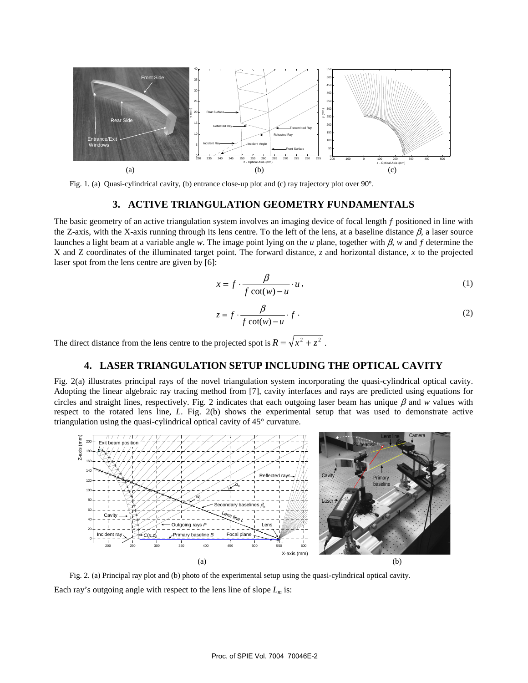

Fig. 1. (a) Quasi-cylindrical cavity, (b) entrance close-up plot and (c) ray trajectory plot over 90º.

#### **3. ACTIVE TRIANGULATION GEOMETRY FUNDAMENTALS**

The basic geometry of an active triangulation system involves an imaging device of focal length  $f$  positioned in line with the Z-axis, with the X-axis running through its lens centre. To the left of the lens, at a baseline distance β*,* a laser source launches a light beam at a variable angle *w*. The image point lying on the *u* plane, together with β, *w* and ƒ determine the X and Z coordinates of the illuminated target point. The forward distance, *z* and horizontal distance, *x* to the projected laser spot from the lens centre are given by [6]:

$$
x = f \cdot \frac{\beta}{f \cot(w) - u} \cdot u \,,\tag{1}
$$

$$
z = f \cdot \frac{\beta}{f \cot(w) - u} \cdot f \tag{2}
$$

The direct distance from the lens centre to the projected spot is  $R = \sqrt{x^2 + z^2}$ .

## **4. LASER TRIANGULATION SETUP INCLUDING THE OPTICAL CAVITY**

Fig. 2(a) illustrates principal rays of the novel triangulation system incorporating the quasi-cylindrical optical cavity. Adopting the linear algebraic ray tracing method from [7], cavity interfaces and rays are predicted using equations for circles and straight lines, respectively. Fig. 2 indicates that each outgoing laser beam has unique  $\beta$  and  $w$  values with respect to the rotated lens line, *L*. Fig. 2(b) shows the experimental setup that was used to demonstrate active triangulation using the quasi-cylindrical optical cavity of 45° curvature.



Fig. 2. (a) Principal ray plot and (b) photo of the experimental setup using the quasi-cylindrical optical cavity. Each ray's outgoing angle with respect to the lens line of slope  $L_m$  is: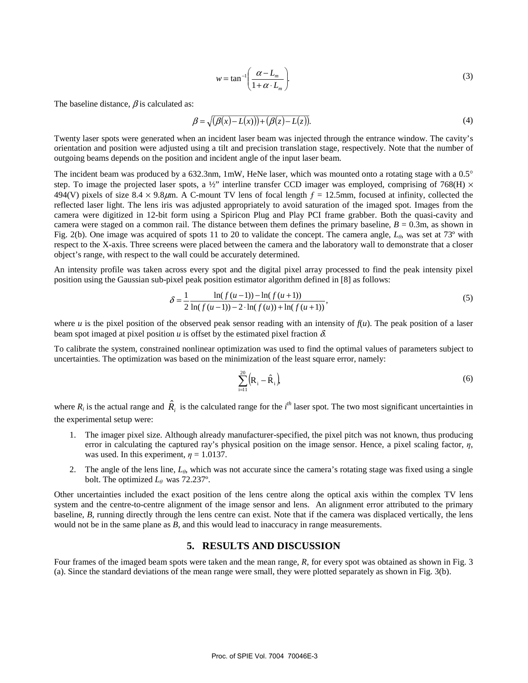$$
w = \tan^{-1}\left(\frac{\alpha - L_m}{1 + \alpha \cdot L_m}\right). \tag{3}
$$

The baseline distance,  $\beta$  is calculated as:

$$
\beta = \sqrt{(\beta(x) - L(x)) + (\beta(z) - L(z))}.\tag{4}
$$

Twenty laser spots were generated when an incident laser beam was injected through the entrance window. The cavity's orientation and position were adjusted using a tilt and precision translation stage, respectively. Note that the number of outgoing beams depends on the position and incident angle of the input laser beam.

The incident beam was produced by a 632.3nm, 1mW, HeNe laser, which was mounted onto a rotating stage with a  $0.5^{\circ}$ step. To image the projected laser spots, a  $\frac{1}{2}$ " interline transfer CCD imager was employed, comprising of 768(H)  $\times$ 494(V) pixels of size 8.4  $\times$  9.8 $\mu$ m. A C-mount TV lens of focal length  $f = 12.5$ mm, focused at infinity, collected the reflected laser light. The lens iris was adjusted appropriately to avoid saturation of the imaged spot. Images from the camera were digitized in 12-bit form using a Spiricon Plug and Play PCI frame grabber. Both the quasi-cavity and camera were staged on a common rail. The distance between them defines the primary baseline,  $B = 0.3$ m, as shown in Fig. 2(b). One image was acquired of spots 11 to 20 to validate the concept. The camera angle, *Lθ,* was set at 73º with respect to the X-axis. Three screens were placed between the camera and the laboratory wall to demonstrate that a closer object's range, with respect to the wall could be accurately determined.

An intensity profile was taken across every spot and the digital pixel array processed to find the peak intensity pixel position using the Gaussian sub-pixel peak position estimator algorithm defined in [8] as follows:

$$
\delta = \frac{1}{2} \frac{\ln(f(u-1)) - \ln(f(u+1))}{\ln(f(u-1)) - 2 \cdot \ln(f(u)) + \ln(f(u+1))},\tag{5}
$$

where *u* is the pixel position of the observed peak sensor reading with an intensity of  $f(u)$ . The peak position of a laser beam spot imaged at pixel position  $u$  is offset by the estimated pixel fraction  $\delta$ .

To calibrate the system, constrained nonlinear optimization was used to find the optimal values of parameters subject to uncertainties. The optimization was based on the minimization of the least square error, namely:

$$
\sum_{i=1}^{20} \left( \mathbf{R}_i - \hat{\mathbf{R}}_i \right)
$$

where  $R_i$  is the actual range and  $\hat{R}_i$  is the calculated range for the *i*<sup>th</sup> laser spot. The two most significant uncertainties in the experimental setup were:

- 1. The imager pixel size. Although already manufacturer-specified, the pixel pitch was not known, thus producing error in calculating the captured ray's physical position on the image sensor. Hence, a pixel scaling factor, *η*, was used. In this experiment,  $\eta = 1.0137$ .
- 2. The angle of the lens line,  $L_{\theta}$ , which was not accurate since the camera's rotating stage was fixed using a single bolt. The optimized  $L_\theta$  was 72.237°.

Other uncertainties included the exact position of the lens centre along the optical axis within the complex TV lens system and the centre-to-centre alignment of the image sensor and lens. An alignment error attributed to the primary baseline, *B*, running directly through the lens centre can exist. Note that if the camera was displaced vertically, the lens would not be in the same plane as *B*, and this would lead to inaccuracy in range measurements.

#### **5. RESULTS AND DISCUSSION**

Four frames of the imaged beam spots were taken and the mean range, R, for every spot was obtained as shown in Fig. 3 (a). Since the standard deviations of the mean range were small, they were plotted separately as shown in Fig. 3(b).